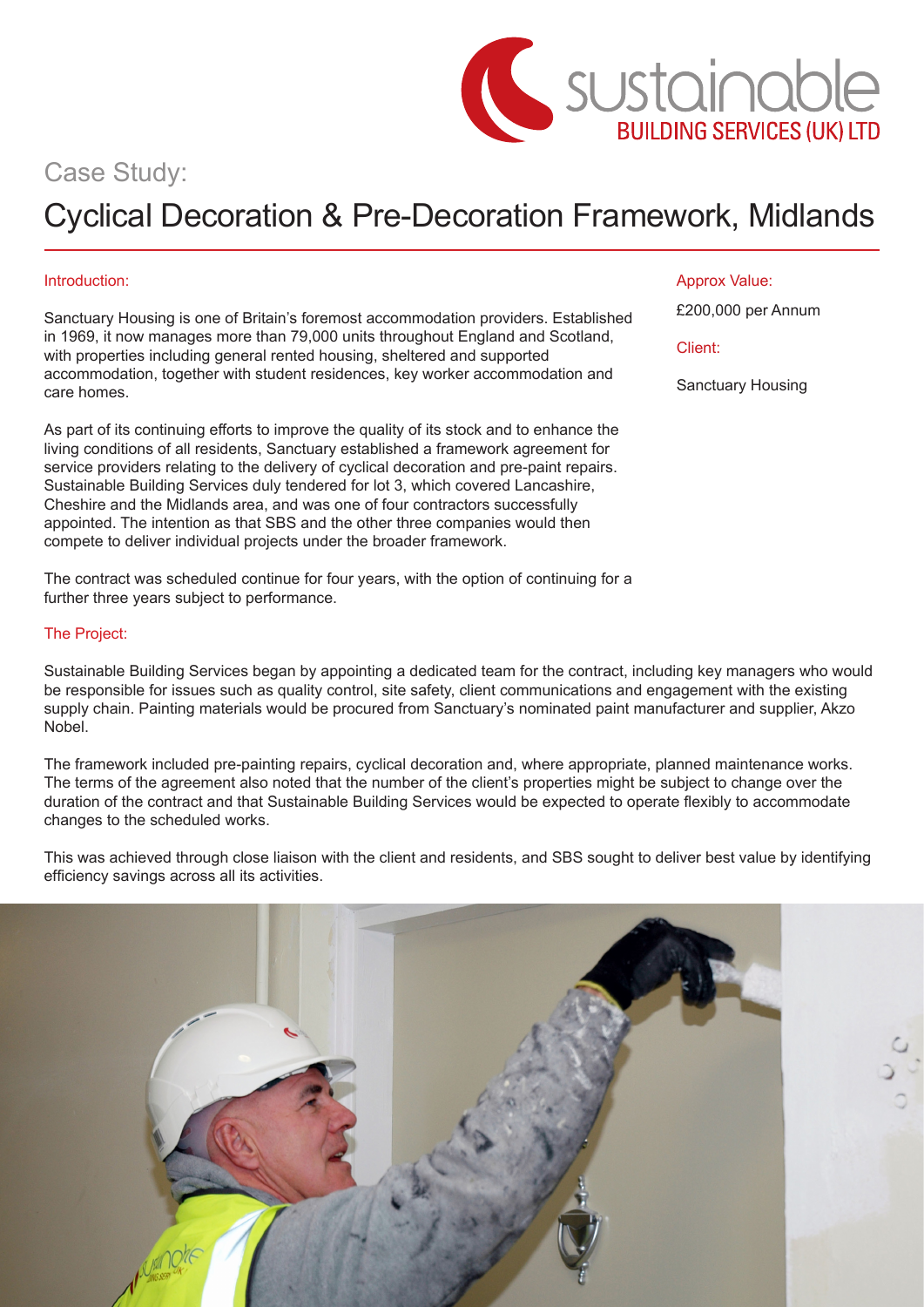## Case Study:

# Cyclical Decoration & Pre-Decoration Framework, Midlands

### Introduction:

Sanctuary Housing is one of Britain's foremost accommodation providers. Established in 1969, it now manages more than 79,000 units throughout England and Scotland, with properties including general rented housing, sheltered and supported accommodation, together with student residences, key worker accommodation and care homes.

As part of its continuing efforts to improve the quality of its stock and to enhance the living conditions of all residents, Sanctuary established a framework agreement for service providers relating to the delivery of cyclical decoration and pre-paint repairs. Sustainable Building Services duly tendered for lot 3, which covered Lancashire, Cheshire and the Midlands area, and was one of four contractors successfully appointed. The intention as that SBS and the other three companies would then compete to deliver individual projects under the broader framework.

The contract was scheduled continue for four years, with the option of continuing for a further three years subject to performance.

#### The Project:

Sustainable Building Services began by appointing a dedicated team for the contract, including key managers who would be responsible for issues such as quality control, site safety, client communications and engagement with the existing supply chain. Painting materials would be procured from Sanctuary's nominated paint manufacturer and supplier, Akzo Nobel.

The framework included pre-painting repairs, cyclical decoration and, where appropriate, planned maintenance works. The terms of the agreement also noted that the number of the client's properties might be subject to change over the duration of the contract and that Sustainable Building Services would be expected to operate flexibly to accommodate changes to the scheduled works.

This was achieved through close liaison with the client and residents, and SBS sought to deliver best value by identifying efficiency savings across all its activities.



#### Approx Value:

£200,000 per Annum

Client:

Sanctuary Housing